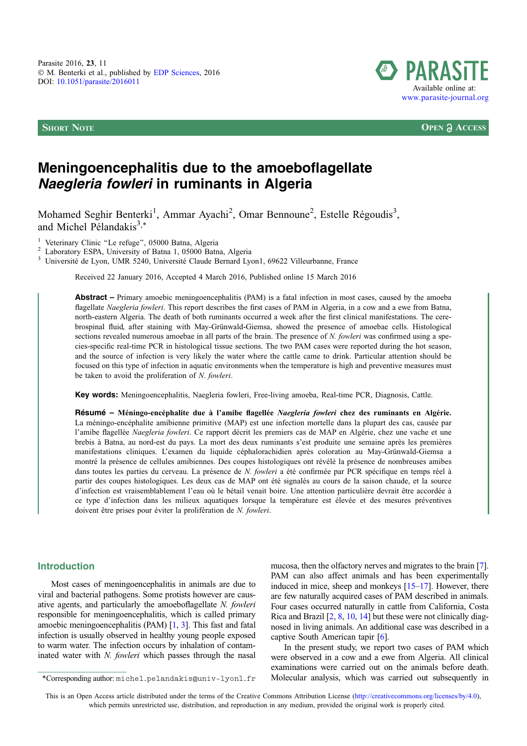

**SHORT NOTE OPEN**  $\partial$  **ACCESS** 

# Meningoencephalitis due to the amoeboflagellate Naegleria fowleri in ruminants in Algeria

Mohamed Seghir Benterki<sup>1</sup>, Ammar Ayachi<sup>2</sup>, Omar Bennoune<sup>2</sup>, Estelle Régoudis<sup>3</sup>, and Michel Pélandakis $3$ <sup>\*</sup>

<sup>1</sup> Veterinary Clinic "Le refuge", 05000 Batna, Algeria<br><sup>2</sup> Laboratory ESPA, University of Batna 1, 05000 Batna, Algeria<br><sup>3</sup> Université de Lyon, UMR 5240, Université Claude Bernard Lyon1, 69622 Villeurbanne, France

Received 22 January 2016, Accepted 4 March 2016, Published online 15 March 2016

Abstract – Primary amoebic meningoencephalitis (PAM) is a fatal infection in most cases, caused by the amoeba flagellate Naegleria fowleri. This report describes the first cases of PAM in Algeria, in a cow and a ewe from Batna, north-eastern Algeria. The death of both ruminants occurred a week after the first clinical manifestations. The cerebrospinal fluid, after staining with May-Grünwald-Giemsa, showed the presence of amoebae cells. Histological sections revealed numerous amoebae in all parts of the brain. The presence of N. fowleri was confirmed using a species-specific real-time PCR in histological tissue sections. The two PAM cases were reported during the hot season, and the source of infection is very likely the water where the cattle came to drink. Particular attention should be focused on this type of infection in aquatic environments when the temperature is high and preventive measures must be taken to avoid the proliferation of N. fowleri.

Key words: Meningoencephalitis, Naegleria fowleri, Free-living amoeba, Real-time PCR, Diagnosis, Cattle.

Résumé – Méningo-encéphalite due à l'amibe flagellée Naegleria fowleri chez des ruminants en Algérie. La méningo-encéphalite amibienne primitive (MAP) est une infection mortelle dans la plupart des cas, causée par l'amibe flagellée Naegleria fowleri. Ce rapport décrit les premiers cas de MAP en Algérie, chez une vache et une brebis à Batna, au nord-est du pays. La mort des deux ruminants s'est produite une semaine après les premières manifestations cliniques. L'examen du liquide céphalorachidien après coloration au May-Grünwald-Giemsa a montré la présence de cellules amibiennes. Des coupes histologiques ont révélé la présence de nombreuses amibes dans toutes les parties du cerveau. La présence de N. fowleri a été confirmée par PCR spécifique en temps réel à partir des coupes histologiques. Les deux cas de MAP ont été signalés au cours de la saison chaude, et la source d'infection est vraisemblablement l'eau où le bétail venait boire. Une attention particulière devrait être accordée à ce type d'infection dans les milieux aquatiques lorsque la température est élevée et des mesures préventives doivent être prises pour éviter la prolifération de N. fowleri.

## Introduction

Most cases of meningoencephalitis in animals are due to viral and bacterial pathogens. Some protists however are causative agents, and particularly the amoeboflagellate N. fowleri responsible for meningoencephalitis, which is called primary amoebic meningoencephalitis (PAM) [[1,](#page-2-0) [3\]](#page-2-0). This fast and fatal infection is usually observed in healthy young people exposed to warm water. The infection occurs by inhalation of contaminated water with N. fowleri which passes through the nasal

mucosa, then the olfactory nerves and migrates to the brain [\[7](#page-2-0)]. PAM can also affect animals and has been experimentally induced in mice, sheep and monkeys [[15–17\]](#page-3-0). However, there are few naturally acquired cases of PAM described in animals. Four cases occurred naturally in cattle from California, Costa Rica and Brazil [[2](#page-2-0), [8,](#page-2-0) [10](#page-2-0), [14\]](#page-3-0) but these were not clinically diagnosed in living animals. An additional case was described in a captive South American tapir [[6](#page-2-0)].

In the present study, we report two cases of PAM which were observed in a cow and a ewe from Algeria. All clinical examinations were carried out on the animals before death. \*Corresponding author: michel.pelandakis@univ-lyon1.fr Molecular analysis, which was carried out subsequently in

This is an Open Access article distributed under the terms of the Creative Commons Attribution License [\(http://creativecommons.org/licenses/by/4.0\)](http://creativecommons.org/licenses/by/4.0/), which permits unrestricted use, distribution, and reproduction in any medium, provided the original work is properly cited.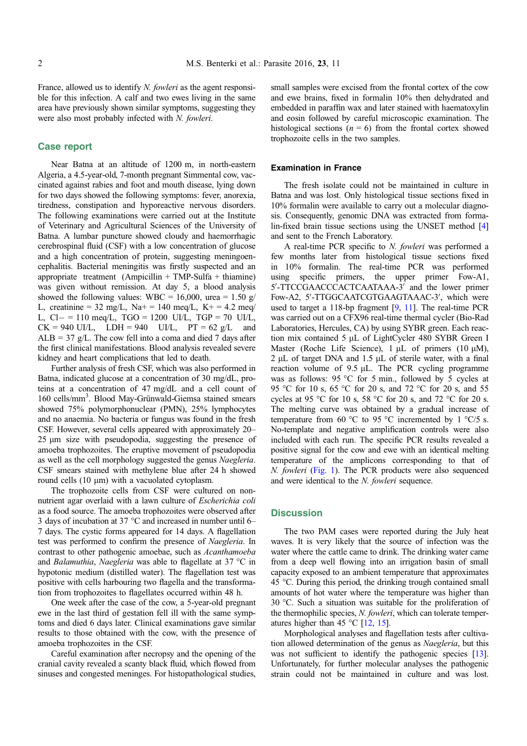France, allowed us to identify N. fowleri as the agent responsible for this infection. A calf and two ewes living in the same area have previously shown similar symptoms, suggesting they were also most probably infected with N. fowleri.

## Case report

Near Batna at an altitude of 1200 m, in north-eastern Algeria, a 4.5-year-old, 7-month pregnant Simmental cow, vaccinated against rabies and foot and mouth disease, lying down for two days showed the following symptoms: fever, anorexia, tiredness, constipation and hyporeactive nervous disorders. The following examinations were carried out at the Institute of Veterinary and Agricultural Sciences of the University of Batna. A lumbar puncture showed cloudy and haemorrhagic cerebrospinal fluid (CSF) with a low concentration of glucose and a high concentration of protein, suggesting meningoencephalitis. Bacterial meningitis was firstly suspected and an appropriate treatment  $(Ampicillin + TMP-Sulfa + thiamine)$ was given without remission. At day 5, a blood analysis showed the following values: WBC = 16,000, urea = 1.50 g/ L, creatinine =  $32 \text{ mg/L}$ , Na+ =  $140 \text{ meq/L}$ , K+ =  $4.2 \text{ meq/}$ L, Cl- = 110 meq/L, TGO = 1200 UI/L, TGP = 70 UI/L,  $CK = 940$  UI/L,  $LDH = 940$  UI/L,  $PT = 62$  g/L and  $ALB = 37$  g/L. The cow fell into a coma and died 7 days after the first clinical manifestations. Blood analysis revealed severe kidney and heart complications that led to death.

Further analysis of fresh CSF, which was also performed in Batna, indicated glucose at a concentration of 30 mg/dL, proteins at a concentration of 47 mg/dL and a cell count of 160 cells/mm3 . Blood May-Grünwald-Giemsa stained smears showed 75% polymorphonuclear (PMN), 25% lymphocytes and no anaemia. No bacteria or fungus was found in the fresh CSF. However, several cells appeared with approximately 20– 25 lm size with pseudopodia, suggesting the presence of amoeba trophozoites. The eruptive movement of pseudopodia as well as the cell morphology suggested the genus Naegleria. CSF smears stained with methylene blue after 24 h showed round cells (10 µm) with a vacuolated cytoplasm.

The trophozoite cells from CSF were cultured on nonnutrient agar overlaid with a lawn culture of Escherichia coli as a food source. The amoeba trophozoites were observed after 3 days of incubation at 37  $^{\circ}$ C and increased in number until 6– 7 days. The cystic forms appeared for 14 days. A flagellation test was performed to confirm the presence of Naegleria. In contrast to other pathogenic amoebae, such as Acanthamoeba and *Balamuthia, Naegleria* was able to flagellate at  $37^{\circ}$ C in hypotonic medium (distilled water). The flagellation test was positive with cells harbouring two flagella and the transformation from trophozoites to flagellates occurred within 48 h.

One week after the case of the cow, a 5-year-old pregnant ewe in the last third of gestation fell ill with the same symptoms and died 6 days later. Clinical examinations gave similar results to those obtained with the cow, with the presence of amoeba trophozoites in the CSF.

Careful examination after necropsy and the opening of the cranial cavity revealed a scanty black fluid, which flowed from sinuses and congested meninges. For histopathological studies, small samples were excised from the frontal cortex of the cow and ewe brains, fixed in formalin 10% then dehydrated and embedded in paraffin wax and later stained with haematoxylin and eosin followed by careful microscopic examination. The histological sections ( $n = 6$ ) from the frontal cortex showed trophozoite cells in the two samples.

#### Examination in France

The fresh isolate could not be maintained in culture in Batna and was lost. Only histological tissue sections fixed in 10% formalin were available to carry out a molecular diagnosis. Consequently, genomic DNA was extracted from formalin-fixed brain tissue sections using the UNSET method [[4\]](#page-2-0) and sent to the French Laboratory.

A real-time PCR specific to N. fowleri was performed a few months later from histological tissue sections fixed in 10% formalin. The real-time PCR was performed using specific primers, the upper primer Fow-A1, 5'-TTCCGAACCCACTCAATAAA-3' and the lower primer Fow-A2, 5'-TTGGCAATCGTGAAGTAAAC-3', which were used to target a 118-bp fragment [\[9,](#page-2-0) [11\]](#page-2-0). The real-time PCR was carried out on a CFX96 real-time thermal cycler (Bio-Rad Laboratories, Hercules, CA) by using SYBR green. Each reaction mix contained 5 µL of LightCycler 480 SYBR Green I Master (Roche Life Science),  $1 \mu L$  of primers (10  $\mu$ M),  $2 \mu L$  of target DNA and 1.5  $\mu L$  of sterile water, with a final reaction volume of  $9.5 \mu L$ . The PCR cycling programme was as follows: 95 °C for 5 min., followed by 5 cycles at 95 °C for 10 s, 65 °C for 20 s, and 72 °C for 20 s, and 55 cycles at 95 °C for 10 s, 58 °C for 20 s, and 72 °C for 20 s. The melting curve was obtained by a gradual increase of temperature from 60 °C to 95 °C incremented by 1 °C/5 s. No-template and negative amplification controls were also included with each run. The specific PCR results revealed a positive signal for the cow and ewe with an identical melting temperature of the amplicons corresponding to that of N. fowleri [\(Fig. 1\)](#page-2-0). The PCR products were also sequenced and were identical to the N. fowleri sequence.

## **Discussion**

The two PAM cases were reported during the July heat waves. It is very likely that the source of infection was the water where the cattle came to drink. The drinking water came from a deep well flowing into an irrigation basin of small capacity exposed to an ambient temperature that approximates 45 °C. During this period, the drinking trough contained small amounts of hot water where the temperature was higher than 30 C. Such a situation was suitable for the proliferation of the thermophilic species, N. fowleri, which can tolerate temperatures higher than 45 °C  $[12, 15]$  $[12, 15]$  $[12, 15]$  $[12, 15]$ .

Morphological analyses and flagellation tests after cultivation allowed determination of the genus as Naegleria, but this was not sufficient to identify the pathogenic species [[13](#page-3-0)]. Unfortunately, for further molecular analyses the pathogenic strain could not be maintained in culture and was lost.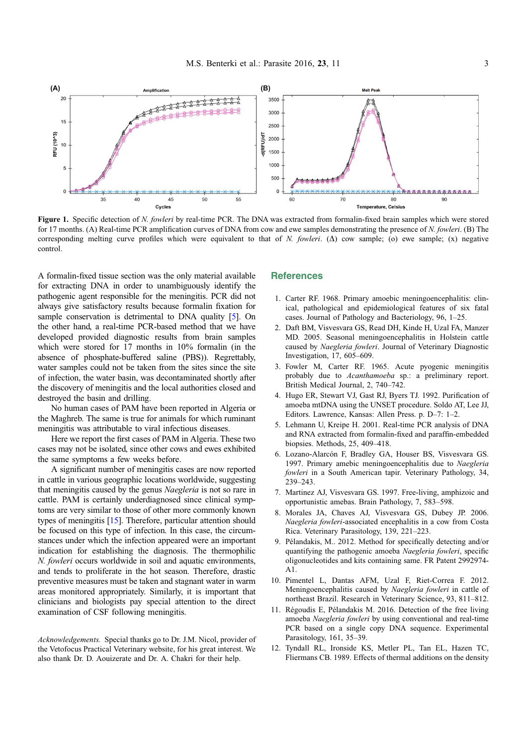<span id="page-2-0"></span>

Figure 1. Specific detection of N. fowleri by real-time PCR. The DNA was extracted from formalin-fixed brain samples which were stored for 17 months. (A) Real-time PCR amplification curves of DNA from cow and ewe samples demonstrating the presence of N. fowleri. (B) The corresponding melting curve profiles which were equivalent to that of N. fowleri. ( $\Delta$ ) cow sample; (o) ewe sample; (x) negative control.

A formalin-fixed tissue section was the only material available for extracting DNA in order to unambiguously identify the pathogenic agent responsible for the meningitis. PCR did not always give satisfactory results because formalin fixation for sample conservation is detrimental to DNA quality [5]. On the other hand, a real-time PCR-based method that we have developed provided diagnostic results from brain samples which were stored for 17 months in 10% formalin (in the absence of phosphate-buffered saline (PBS)). Regrettably, water samples could not be taken from the sites since the site of infection, the water basin, was decontaminated shortly after the discovery of meningitis and the local authorities closed and destroyed the basin and drilling.

No human cases of PAM have been reported in Algeria or the Maghreb. The same is true for animals for which ruminant meningitis was attributable to viral infectious diseases.

Here we report the first cases of PAM in Algeria. These two cases may not be isolated, since other cows and ewes exhibited the same symptoms a few weeks before.

A significant number of meningitis cases are now reported in cattle in various geographic locations worldwide, suggesting that meningitis caused by the genus Naegleria is not so rare in cattle. PAM is certainly underdiagnosed since clinical symptoms are very similar to those of other more commonly known types of meningitis [[15](#page-3-0)]. Therefore, particular attention should be focused on this type of infection. In this case, the circumstances under which the infection appeared were an important indication for establishing the diagnosis. The thermophilic N. fowleri occurs worldwide in soil and aquatic environments, and tends to proliferate in the hot season. Therefore, drastic preventive measures must be taken and stagnant water in warm areas monitored appropriately. Similarly, it is important that clinicians and biologists pay special attention to the direct examination of CSF following meningitis.

Acknowledgements. Special thanks go to Dr. J.M. Nicol, provider of the Vetofocus Practical Veterinary website, for his great interest. We also thank Dr. D. Aouizerate and Dr. A. Chakri for their help.

#### **References**

- 1. Carter RF. 1968. Primary amoebic meningoencephalitis: clinical, pathological and epidemiological features of six fatal cases. Journal of Pathology and Bacteriology, 96, 1–25.
- 2. Daft BM, Visvesvara GS, Read DH, Kinde H, Uzal FA, Manzer MD. 2005. Seasonal meningoencephalitis in Holstein cattle caused by Naegleria fowleri. Journal of Veterinary Diagnostic Investigation, 17, 605–609.
- 3. Fowler M, Carter RF. 1965. Acute pyogenic meningitis probably due to Acanthamoeba sp.: a preliminary report. British Medical Journal, 2, 740–742.
- 4. Hugo ER, Stewart VJ, Gast RJ, Byers TJ. 1992. Purification of amoeba mtDNA using the UNSET procedure. Soldo AT, Lee JJ, Editors. Lawrence, Kansas: Allen Press. p. D–7: 1–2.
- 5. Lehmann U, Kreipe H. 2001. Real-time PCR analysis of DNA and RNA extracted from formalin-fixed and paraffin-embedded biopsies. Methods, 25, 409–418.
- 6. Lozano-Alarcón F, Bradley GA, Houser BS, Visvesvara GS. 1997. Primary amebic meningoencephalitis due to Naegleria fowleri in a South American tapir. Veterinary Pathology, 34, 239–243.
- 7. Martinez AJ, Visvesvara GS. 1997. Free-living, amphizoic and opportunistic amebas. Brain Pathology, 7, 583–598.
- 8. Morales JA, Chaves AJ, Visvesvara GS, Dubey JP. 2006. Naegleria fowleri-associated encephalitis in a cow from Costa Rica. Veterinary Parasitology, 139, 221–223.
- 9. Pélandakis, M.. 2012. Method for specifically detecting and/or quantifying the pathogenic amoeba Naegleria fowleri, specific oligonucleotides and kits containing same. FR Patent 2992974- A1.
- 10. Pimentel L, Dantas AFM, Uzal F, Riet-Correa F. 2012. Meningoencephalitis caused by Naegleria fowleri in cattle of northeast Brazil. Research in Veterinary Science, 93, 811–812.
- 11. Régoudis E, Pélandakis M. 2016. Detection of the free living amoeba Naegleria fowleri by using conventional and real-time PCR based on a single copy DNA sequence. Experimental Parasitology, 161, 35–39.
- 12. Tyndall RL, Ironside KS, Metler PL, Tan EL, Hazen TC, Fliermans CB. 1989. Effects of thermal additions on the density